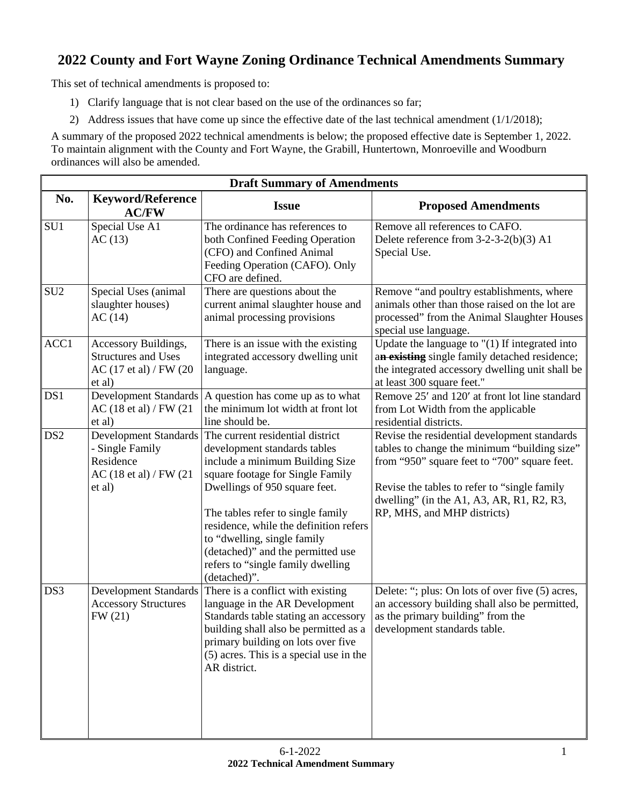## **2022 County and Fort Wayne Zoning Ordinance Technical Amendments Summary**

This set of technical amendments is proposed to:

- 1) Clarify language that is not clear based on the use of the ordinances so far;
- 2) Address issues that have come up since the effective date of the last technical amendment (1/1/2018);

A summary of the proposed 2022 technical amendments is below; the proposed effective date is September 1, 2022. To maintain alignment with the County and Fort Wayne, the Grabill, Huntertown, Monroeville and Woodburn ordinances will also be amended.

| <b>Draft Summary of Amendments</b> |                                                                                                              |                                                                                                                                                                                                                                                                                                                                                                                  |                                                                                                                                                                                                                                                                           |  |
|------------------------------------|--------------------------------------------------------------------------------------------------------------|----------------------------------------------------------------------------------------------------------------------------------------------------------------------------------------------------------------------------------------------------------------------------------------------------------------------------------------------------------------------------------|---------------------------------------------------------------------------------------------------------------------------------------------------------------------------------------------------------------------------------------------------------------------------|--|
| No.                                | <b>Keyword/Reference</b><br><b>AC/FW</b>                                                                     | <b>Issue</b>                                                                                                                                                                                                                                                                                                                                                                     | <b>Proposed Amendments</b>                                                                                                                                                                                                                                                |  |
| SU1                                | Special Use A1<br>AC(13)                                                                                     | The ordinance has references to<br>both Confined Feeding Operation<br>(CFO) and Confined Animal<br>Feeding Operation (CAFO). Only<br>CFO are defined.                                                                                                                                                                                                                            | Remove all references to CAFO.<br>Delete reference from $3-2-3-2(b)(3)$ A1<br>Special Use.                                                                                                                                                                                |  |
| SU <sub>2</sub>                    | Special Uses (animal<br>slaughter houses)<br>AC(14)                                                          | There are questions about the<br>current animal slaughter house and<br>animal processing provisions                                                                                                                                                                                                                                                                              | Remove "and poultry establishments, where<br>animals other than those raised on the lot are<br>processed" from the Animal Slaughter Houses<br>special use language.                                                                                                       |  |
| ACC1                               | Accessory Buildings,<br><b>Structures and Uses</b><br>AC (17 et al) / FW (20<br>et al)                       | There is an issue with the existing<br>integrated accessory dwelling unit<br>language.                                                                                                                                                                                                                                                                                           | Update the language to $"(1)$ If integrated into<br>an existing single family detached residence;<br>the integrated accessory dwelling unit shall be<br>at least 300 square feet."                                                                                        |  |
| DS1                                | <b>Development Standards</b><br>AC $(18 \text{ et al})$ / FW $(21$<br>et al)                                 | A question has come up as to what<br>the minimum lot width at front lot<br>line should be.                                                                                                                                                                                                                                                                                       | Remove 25' and 120' at front lot line standard<br>from Lot Width from the applicable<br>residential districts.                                                                                                                                                            |  |
| DS <sub>2</sub>                    | <b>Development Standards</b><br>- Single Family<br>Residence<br>AC $(18 \text{ et al})$ / FW $(21$<br>et al) | The current residential district<br>development standards tables<br>include a minimum Building Size<br>square footage for Single Family<br>Dwellings of 950 square feet.<br>The tables refer to single family<br>residence, while the definition refers<br>to "dwelling, single family<br>(detached)" and the permitted use<br>refers to "single family dwelling<br>(detached)". | Revise the residential development standards<br>tables to change the minimum "building size"<br>from "950" square feet to "700" square feet.<br>Revise the tables to refer to "single family"<br>dwelling" (in the A1, A3, AR, R1, R2, R3,<br>RP, MHS, and MHP districts) |  |
| DS3                                | Development Standards<br><b>Accessory Structures</b><br>FW (21)                                              | There is a conflict with existing<br>language in the AR Development<br>Standards table stating an accessory<br>building shall also be permitted as a<br>primary building on lots over five<br>(5) acres. This is a special use in the<br>AR district.                                                                                                                            | Delete: "; plus: On lots of over five (5) acres,<br>an accessory building shall also be permitted,<br>as the primary building" from the<br>development standards table.                                                                                                   |  |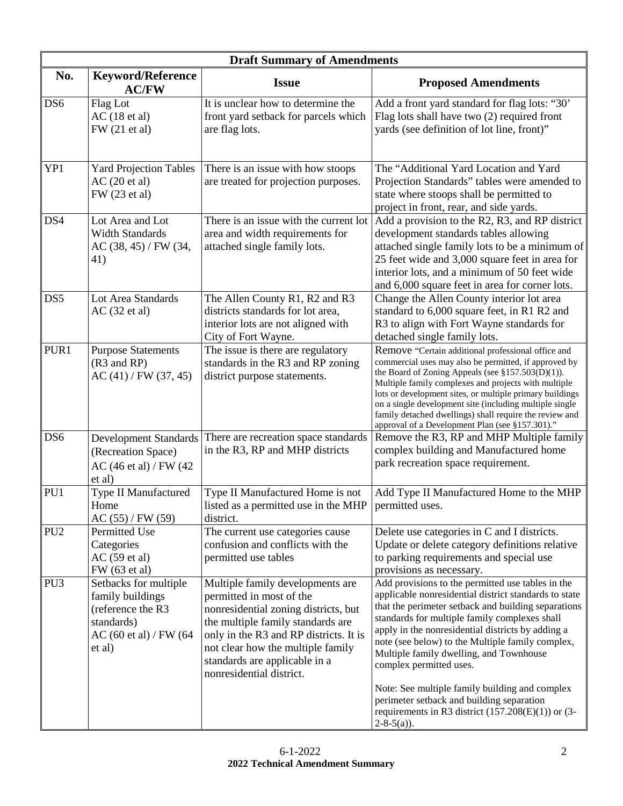|                 | <b>Draft Summary of Amendments</b>                                                                                           |                                                                                                                                                                                                                                                                                       |                                                                                                                                                                                                                                                                                                                                                                                                                                                                                                                                                                             |  |
|-----------------|------------------------------------------------------------------------------------------------------------------------------|---------------------------------------------------------------------------------------------------------------------------------------------------------------------------------------------------------------------------------------------------------------------------------------|-----------------------------------------------------------------------------------------------------------------------------------------------------------------------------------------------------------------------------------------------------------------------------------------------------------------------------------------------------------------------------------------------------------------------------------------------------------------------------------------------------------------------------------------------------------------------------|--|
| No.             | Keyword/Reference<br><b>AC/FW</b>                                                                                            | <b>Issue</b>                                                                                                                                                                                                                                                                          | <b>Proposed Amendments</b>                                                                                                                                                                                                                                                                                                                                                                                                                                                                                                                                                  |  |
| DS6             | Flag Lot<br>AC(18 et al)<br>FW (21 et al)                                                                                    | It is unclear how to determine the<br>front yard setback for parcels which<br>are flag lots.                                                                                                                                                                                          | Add a front yard standard for flag lots: "30"<br>Flag lots shall have two (2) required front<br>yards (see definition of lot line, front)"                                                                                                                                                                                                                                                                                                                                                                                                                                  |  |
| YP1             | <b>Yard Projection Tables</b><br>AC(20 et al)<br>FW (23 et al)                                                               | There is an issue with how stoops<br>are treated for projection purposes.                                                                                                                                                                                                             | The "Additional Yard Location and Yard<br>Projection Standards" tables were amended to<br>state where stoops shall be permitted to<br>project in front, rear, and side yards.                                                                                                                                                                                                                                                                                                                                                                                               |  |
| DS4             | Lot Area and Lot<br><b>Width Standards</b><br>AC (38, 45) / FW (34,<br>41)                                                   | There is an issue with the current lot<br>area and width requirements for<br>attached single family lots.                                                                                                                                                                             | Add a provision to the R2, R3, and RP district<br>development standards tables allowing<br>attached single family lots to be a minimum of<br>25 feet wide and 3,000 square feet in area for<br>interior lots, and a minimum of 50 feet wide<br>and 6,000 square feet in area for corner lots.                                                                                                                                                                                                                                                                               |  |
| DS <sub>5</sub> | Lot Area Standards<br>AC(32 et al)                                                                                           | The Allen County R1, R2 and R3<br>districts standards for lot area,<br>interior lots are not aligned with<br>City of Fort Wayne.                                                                                                                                                      | Change the Allen County interior lot area<br>standard to 6,000 square feet, in R1 R2 and<br>R3 to align with Fort Wayne standards for<br>detached single family lots.                                                                                                                                                                                                                                                                                                                                                                                                       |  |
| PUR1            | <b>Purpose Statements</b><br>(R3 and RP)<br>AC(41) / FW(37, 45)                                                              | The issue is there are regulatory<br>standards in the R3 and RP zoning<br>district purpose statements.                                                                                                                                                                                | Remove "Certain additional professional office and<br>commercial uses may also be permitted, if approved by<br>the Board of Zoning Appeals (see $$157.503(D)(1)$ ).<br>Multiple family complexes and projects with multiple<br>lots or development sites, or multiple primary buildings<br>on a single development site (including multiple single<br>family detached dwellings) shall require the review and<br>approval of a Development Plan (see §157.301)."                                                                                                            |  |
| DS <sub>6</sub> | <b>Development Standards</b><br>(Recreation Space)<br>AC (46 et al) / FW (42)<br>et al)                                      | There are recreation space standards<br>in the R3, RP and MHP districts                                                                                                                                                                                                               | Remove the R3, RP and MHP Multiple family<br>complex building and Manufactured home<br>park recreation space requirement.                                                                                                                                                                                                                                                                                                                                                                                                                                                   |  |
| PU1             | Type II Manufactured<br>Home<br>AC(55) / FW(59)                                                                              | Type II Manufactured Home is not<br>listed as a permitted use in the MHP<br>district.                                                                                                                                                                                                 | Add Type II Manufactured Home to the MHP<br>permitted uses.                                                                                                                                                                                                                                                                                                                                                                                                                                                                                                                 |  |
| PU <sub>2</sub> | Permitted Use<br>Categories<br>AC(59 et al)<br>FW (63 et al)                                                                 | The current use categories cause<br>confusion and conflicts with the<br>permitted use tables                                                                                                                                                                                          | Delete use categories in C and I districts.<br>Update or delete category definitions relative<br>to parking requirements and special use<br>provisions as necessary.                                                                                                                                                                                                                                                                                                                                                                                                        |  |
| PU <sub>3</sub> | Setbacks for multiple<br>family buildings<br>(reference the R3<br>standards)<br>AC $(60 \text{ et al})$ / FW $(64$<br>et al) | Multiple family developments are<br>permitted in most of the<br>nonresidential zoning districts, but<br>the multiple family standards are<br>only in the R3 and RP districts. It is<br>not clear how the multiple family<br>standards are applicable in a<br>nonresidential district. | Add provisions to the permitted use tables in the<br>applicable nonresidential district standards to state<br>that the perimeter setback and building separations<br>standards for multiple family complexes shall<br>apply in the nonresidential districts by adding a<br>note (see below) to the Multiple family complex,<br>Multiple family dwelling, and Townhouse<br>complex permitted uses.<br>Note: See multiple family building and complex<br>perimeter setback and building separation<br>requirements in R3 district $(157.208(E)(1))$ or $(3-$<br>$2-8-5(a)$ ). |  |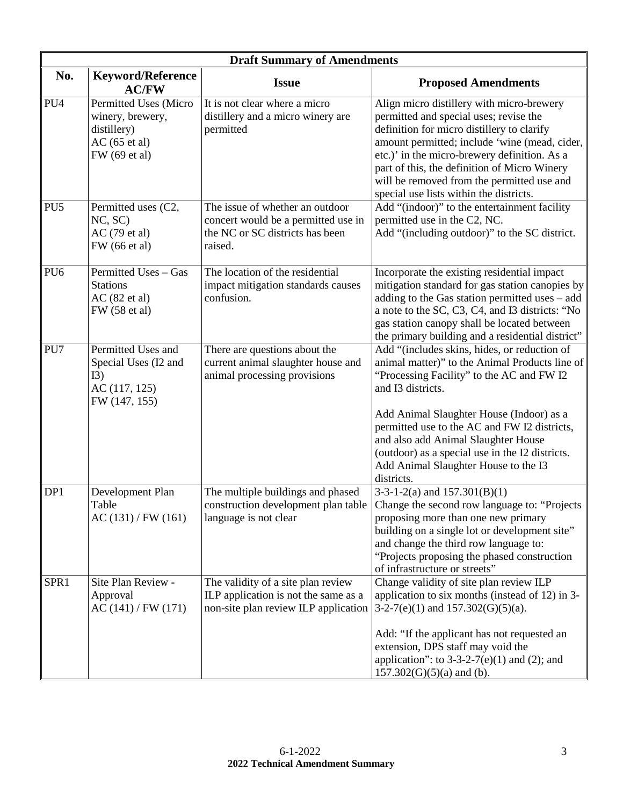|                 | <b>Draft Summary of Amendments</b>                                                                  |                                                                                                                      |                                                                                                                                                                                                                                                                                                                                                                                                              |  |
|-----------------|-----------------------------------------------------------------------------------------------------|----------------------------------------------------------------------------------------------------------------------|--------------------------------------------------------------------------------------------------------------------------------------------------------------------------------------------------------------------------------------------------------------------------------------------------------------------------------------------------------------------------------------------------------------|--|
| No.             | <b>Keyword/Reference</b><br><b>AC/FW</b>                                                            | <b>Issue</b>                                                                                                         | <b>Proposed Amendments</b>                                                                                                                                                                                                                                                                                                                                                                                   |  |
| PU <sub>4</sub> | Permitted Uses (Micro<br>winery, brewery,<br>distillery)<br>$AC(65 \text{ et al})$<br>FW (69 et al) | It is not clear where a micro<br>distillery and a micro winery are<br>permitted                                      | Align micro distillery with micro-brewery<br>permitted and special uses; revise the<br>definition for micro distillery to clarify<br>amount permitted; include 'wine (mead, cider,<br>etc.)' in the micro-brewery definition. As a<br>part of this, the definition of Micro Winery<br>will be removed from the permitted use and<br>special use lists within the districts.                                  |  |
| PU <sub>5</sub> | Permitted uses (C2,<br>NC, SC<br>AC (79 et al)<br>FW (66 et al)                                     | The issue of whether an outdoor<br>concert would be a permitted use in<br>the NC or SC districts has been<br>raised. | Add "(indoor)" to the entertainment facility<br>permitted use in the C2, NC.<br>Add "(including outdoor)" to the SC district.                                                                                                                                                                                                                                                                                |  |
| PU <sub>6</sub> | Permitted Uses - Gas<br><b>Stations</b><br>AC(82 et al)<br>FW (58 et al)                            | The location of the residential<br>impact mitigation standards causes<br>confusion.                                  | Incorporate the existing residential impact<br>mitigation standard for gas station canopies by<br>adding to the Gas station permitted uses – add<br>a note to the SC, C3, C4, and I3 districts: "No<br>gas station canopy shall be located between<br>the primary building and a residential district"                                                                                                       |  |
| PU7             | Permitted Uses and<br>Special Uses (I2 and<br>I3)<br>AC (117, 125)<br>FW (147, 155)                 | There are questions about the<br>current animal slaughter house and<br>animal processing provisions                  | Add "(includes skins, hides, or reduction of<br>animal matter)" to the Animal Products line of<br>"Processing Facility" to the AC and FW I2<br>and I3 districts.<br>Add Animal Slaughter House (Indoor) as a<br>permitted use to the AC and FW I2 districts,<br>and also add Animal Slaughter House<br>(outdoor) as a special use in the I2 districts.<br>Add Animal Slaughter House to the I3<br>districts. |  |
| DP1             | Development Plan<br>Table<br>AC(131)/FW(161)                                                        | The multiple buildings and phased<br>construction development plan table<br>language is not clear                    | $3-3-1-2(a)$ and $157.301(B)(1)$<br>Change the second row language to: "Projects"<br>proposing more than one new primary<br>building on a single lot or development site"<br>and change the third row language to:<br>"Projects proposing the phased construction<br>of infrastructure or streets"                                                                                                           |  |
| SPR1            | Site Plan Review -<br>Approval<br>AC(141) / FW(171)                                                 | The validity of a site plan review<br>ILP application is not the same as a<br>non-site plan review ILP application   | Change validity of site plan review ILP<br>application to six months (instead of 12) in 3-<br>$3-2-7(e)(1)$ and $157.302(G)(5)(a)$ .<br>Add: "If the applicant has not requested an<br>extension, DPS staff may void the<br>application": to $3-3-2-7(e)(1)$ and (2); and<br>$157.302(G)(5)(a)$ and (b).                                                                                                     |  |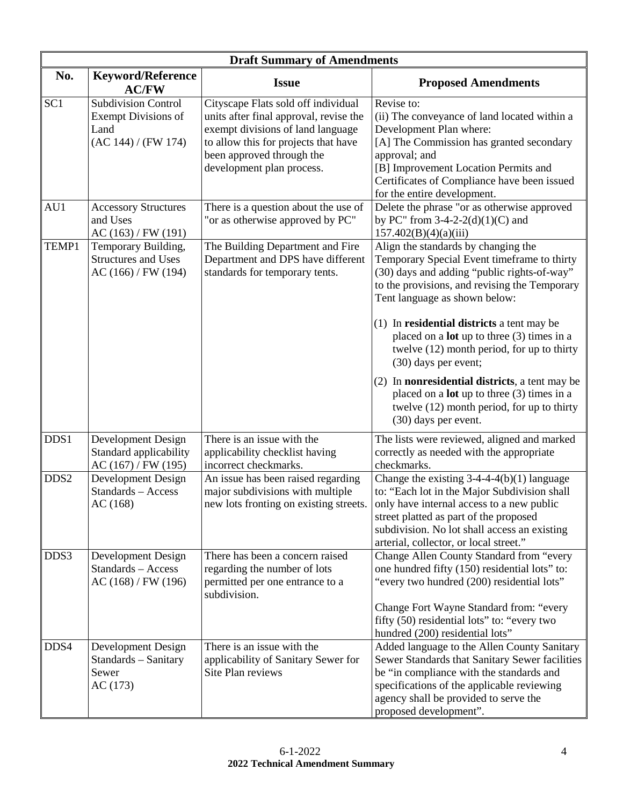|                  | <b>Draft Summary of Amendments</b>                                                      |                                                                                                                                                                                                                      |                                                                                                                                                                                                                                                                                               |  |
|------------------|-----------------------------------------------------------------------------------------|----------------------------------------------------------------------------------------------------------------------------------------------------------------------------------------------------------------------|-----------------------------------------------------------------------------------------------------------------------------------------------------------------------------------------------------------------------------------------------------------------------------------------------|--|
| No.              | <b>Keyword/Reference</b><br><b>AC/FW</b>                                                | <b>Issue</b>                                                                                                                                                                                                         | <b>Proposed Amendments</b>                                                                                                                                                                                                                                                                    |  |
| SC <sub>1</sub>  | <b>Subdivision Control</b><br><b>Exempt Divisions of</b><br>Land<br>(AC 144) / (FW 174) | Cityscape Flats sold off individual<br>units after final approval, revise the<br>exempt divisions of land language<br>to allow this for projects that have<br>been approved through the<br>development plan process. | Revise to:<br>(ii) The conveyance of land located within a<br>Development Plan where:<br>[A] The Commission has granted secondary<br>approval; and<br>[B] Improvement Location Permits and<br>Certificates of Compliance have been issued<br>for the entire development.                      |  |
| AU1              | <b>Accessory Structures</b><br>and Uses<br>AC(163) / FW(191)                            | There is a question about the use of<br>"or as otherwise approved by PC"                                                                                                                                             | Delete the phrase "or as otherwise approved<br>by PC" from $3-4-2-2(d)(1)(C)$ and<br>157.402(B)(4)(a)(iii)                                                                                                                                                                                    |  |
| TEMP1            | Temporary Building,<br><b>Structures and Uses</b><br>AC(166) / FW(194)                  | The Building Department and Fire<br>Department and DPS have different<br>standards for temporary tents.                                                                                                              | Align the standards by changing the<br>Temporary Special Event timeframe to thirty<br>(30) days and adding "public rights-of-way"<br>to the provisions, and revising the Temporary<br>Tent language as shown below:                                                                           |  |
|                  |                                                                                         |                                                                                                                                                                                                                      | (1) In residential districts a tent may be<br>placed on a <b>lot</b> up to three $(3)$ times in a<br>twelve (12) month period, for up to thirty<br>(30) days per event;                                                                                                                       |  |
|                  |                                                                                         |                                                                                                                                                                                                                      | (2) In <b>nonresidential districts</b> , a tent may be<br>placed on a <b>lot</b> up to three (3) times in a<br>twelve (12) month period, for up to thirty<br>(30) days per event.                                                                                                             |  |
| DDS1             | Development Design<br>Standard applicability<br>AC(167) / FW(195)                       | There is an issue with the<br>applicability checklist having<br>incorrect checkmarks.                                                                                                                                | The lists were reviewed, aligned and marked<br>correctly as needed with the appropriate<br>checkmarks.                                                                                                                                                                                        |  |
| DDS <sub>2</sub> | Development Design<br>Standards - Access<br>AC(168)                                     | An issue has been raised regarding<br>major subdivisions with multiple<br>new lots fronting on existing streets.                                                                                                     | Change the existing $3-4-4-4(b)(1)$ language<br>to: "Each lot in the Major Subdivision shall<br>only have internal access to a new public<br>street platted as part of the proposed<br>subdivision. No lot shall access an existing<br>arterial, collector, or local street."                 |  |
| DDS3             | Development Design<br>Standards - Access<br>AC(168) / FW(196)                           | There has been a concern raised<br>regarding the number of lots<br>permitted per one entrance to a<br>subdivision.                                                                                                   | Change Allen County Standard from "every<br>one hundred fifty (150) residential lots" to:<br>"every two hundred (200) residential lots"<br>Change Fort Wayne Standard from: "every<br>fifty (50) residential lots" to: "every two                                                             |  |
| DDS4             | Development Design<br>Standards - Sanitary<br>Sewer<br>AC(173)                          | There is an issue with the<br>applicability of Sanitary Sewer for<br>Site Plan reviews                                                                                                                               | hundred (200) residential lots"<br>Added language to the Allen County Sanitary<br>Sewer Standards that Sanitary Sewer facilities<br>be "in compliance with the standards and<br>specifications of the applicable reviewing<br>agency shall be provided to serve the<br>proposed development". |  |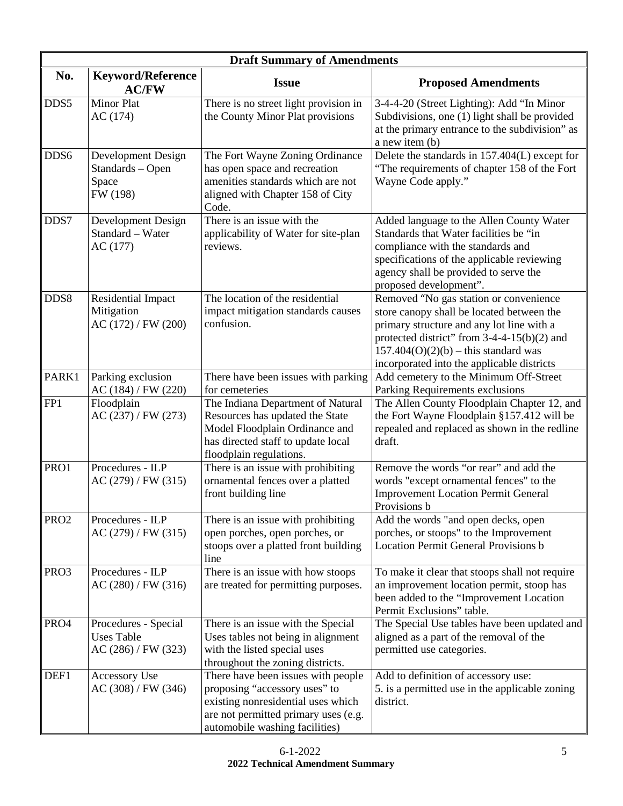| <b>Draft Summary of Amendments</b> |                                                                  |                                                                                                                                                                                     |                                                                                                                                                                                                                                                                           |
|------------------------------------|------------------------------------------------------------------|-------------------------------------------------------------------------------------------------------------------------------------------------------------------------------------|---------------------------------------------------------------------------------------------------------------------------------------------------------------------------------------------------------------------------------------------------------------------------|
| No.                                | <b>Keyword/Reference</b><br><b>AC/FW</b>                         | <b>Issue</b>                                                                                                                                                                        | <b>Proposed Amendments</b>                                                                                                                                                                                                                                                |
| DDS5                               | Minor Plat<br>AC (174)                                           | There is no street light provision in<br>the County Minor Plat provisions                                                                                                           | 3-4-4-20 (Street Lighting): Add "In Minor<br>Subdivisions, one (1) light shall be provided<br>at the primary entrance to the subdivision" as<br>a new item (b)                                                                                                            |
| DDS6                               | Development Design<br>Standards - Open<br>Space<br>FW (198)      | The Fort Wayne Zoning Ordinance<br>has open space and recreation<br>amenities standards which are not<br>aligned with Chapter 158 of City<br>Code.                                  | Delete the standards in 157.404(L) except for<br>"The requirements of chapter 158 of the Fort<br>Wayne Code apply."                                                                                                                                                       |
| DDS7                               | Development Design<br>Standard - Water<br>AC(177)                | There is an issue with the<br>applicability of Water for site-plan<br>reviews.                                                                                                      | Added language to the Allen County Water<br>Standards that Water facilities be "in<br>compliance with the standards and<br>specifications of the applicable reviewing<br>agency shall be provided to serve the<br>proposed development".                                  |
| DDS8                               | Residential Impact<br>Mitigation<br>AC(172) / FW(200)            | The location of the residential<br>impact mitigation standards causes<br>confusion.                                                                                                 | Removed "No gas station or convenience<br>store canopy shall be located between the<br>primary structure and any lot line with a<br>protected district" from $3-4-4-15(b)(2)$ and<br>$157.404(O)(2)(b) - this standard was$<br>incorporated into the applicable districts |
| PARK1                              | Parking exclusion<br>AC(184) / FW(220)                           | There have been issues with parking<br>for cemeteries                                                                                                                               | Add cemetery to the Minimum Off-Street<br>Parking Requirements exclusions                                                                                                                                                                                                 |
| FP1                                | Floodplain<br>AC(237) / FW(273)                                  | The Indiana Department of Natural<br>Resources has updated the State<br>Model Floodplain Ordinance and<br>has directed staff to update local<br>floodplain regulations.             | The Allen County Floodplain Chapter 12, and<br>the Fort Wayne Floodplain §157.412 will be<br>repealed and replaced as shown in the redline<br>draft.                                                                                                                      |
| PRO1                               | Procedures - ILP<br>AC(279) / FW(315)                            | There is an issue with prohibiting<br>ornamental fences over a platted<br>front building line                                                                                       | Remove the words "or rear" and add the<br>words "except ornamental fences" to the<br><b>Improvement Location Permit General</b><br>Provisions b                                                                                                                           |
| PRO <sub>2</sub>                   | Procedures - ILP<br>AC(279) / FW(315)                            | There is an issue with prohibiting<br>open porches, open porches, or<br>stoops over a platted front building<br>line                                                                | Add the words "and open decks, open<br>porches, or stoops" to the Improvement<br><b>Location Permit General Provisions b</b>                                                                                                                                              |
| PRO3                               | Procedures - ILP<br>AC(280) / FW(316)                            | There is an issue with how stoops<br>are treated for permitting purposes.                                                                                                           | To make it clear that stoops shall not require<br>an improvement location permit, stoop has<br>been added to the "Improvement Location<br>Permit Exclusions" table.                                                                                                       |
| PRO4                               | Procedures - Special<br><b>Uses Table</b><br>AC (286) / FW (323) | There is an issue with the Special<br>Uses tables not being in alignment<br>with the listed special uses<br>throughout the zoning districts.                                        | The Special Use tables have been updated and<br>aligned as a part of the removal of the<br>permitted use categories.                                                                                                                                                      |
| DEF1                               | Accessory Use<br>AC (308) / FW (346)                             | There have been issues with people<br>proposing "accessory uses" to<br>existing nonresidential uses which<br>are not permitted primary uses (e.g.<br>automobile washing facilities) | Add to definition of accessory use:<br>5. is a permitted use in the applicable zoning<br>district.                                                                                                                                                                        |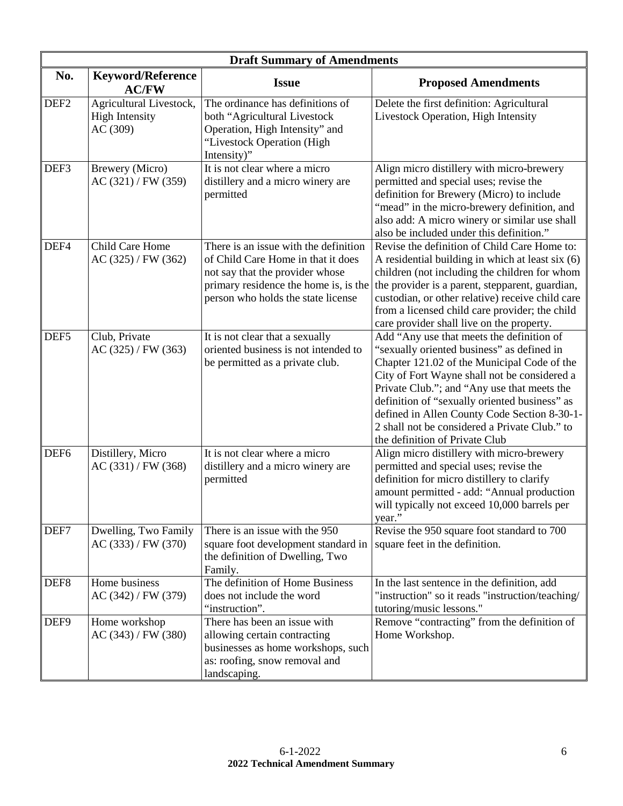|                  | <b>Draft Summary of Amendments</b>                           |                                                                                                                                                                                               |                                                                                                                                                                                                                                                                                                                                                                                                                           |  |
|------------------|--------------------------------------------------------------|-----------------------------------------------------------------------------------------------------------------------------------------------------------------------------------------------|---------------------------------------------------------------------------------------------------------------------------------------------------------------------------------------------------------------------------------------------------------------------------------------------------------------------------------------------------------------------------------------------------------------------------|--|
| No.              | <b>Keyword/Reference</b><br><b>AC/FW</b>                     | <b>Issue</b>                                                                                                                                                                                  | <b>Proposed Amendments</b>                                                                                                                                                                                                                                                                                                                                                                                                |  |
| DEF <sub>2</sub> | Agricultural Livestock,<br><b>High Intensity</b><br>AC (309) | The ordinance has definitions of<br>both "Agricultural Livestock<br>Operation, High Intensity" and<br>"Livestock Operation (High<br>Intensity)"                                               | Delete the first definition: Agricultural<br>Livestock Operation, High Intensity                                                                                                                                                                                                                                                                                                                                          |  |
| DEF3             | Brewery (Micro)<br>AC(321) / FW(359)                         | It is not clear where a micro<br>distillery and a micro winery are<br>permitted                                                                                                               | Align micro distillery with micro-brewery<br>permitted and special uses; revise the<br>definition for Brewery (Micro) to include<br>"mead" in the micro-brewery definition, and<br>also add: A micro winery or similar use shall<br>also be included under this definition."                                                                                                                                              |  |
| DEF4             | Child Care Home<br>AC(325) / FW(362)                         | There is an issue with the definition<br>of Child Care Home in that it does<br>not say that the provider whose<br>primary residence the home is, is the<br>person who holds the state license | Revise the definition of Child Care Home to:<br>A residential building in which at least six (6)<br>children (not including the children for whom<br>the provider is a parent, stepparent, guardian,<br>custodian, or other relative) receive child care<br>from a licensed child care provider; the child<br>care provider shall live on the property.                                                                   |  |
| DEF <sub>5</sub> | Club, Private<br>AC (325) / FW (363)                         | It is not clear that a sexually<br>oriented business is not intended to<br>be permitted as a private club.                                                                                    | Add "Any use that meets the definition of<br>"sexually oriented business" as defined in<br>Chapter 121.02 of the Municipal Code of the<br>City of Fort Wayne shall not be considered a<br>Private Club."; and "Any use that meets the<br>definition of "sexually oriented business" as<br>defined in Allen County Code Section 8-30-1-<br>2 shall not be considered a Private Club." to<br>the definition of Private Club |  |
| DEF <sub>6</sub> | Distillery, Micro<br>AC(331)/FW(368)                         | It is not clear where a micro<br>distillery and a micro winery are<br>permitted                                                                                                               | Align micro distillery with micro-brewery<br>permitted and special uses; revise the<br>definition for micro distillery to clarify<br>amount permitted - add: "Annual production<br>will typically not exceed 10,000 barrels per<br>year."                                                                                                                                                                                 |  |
| DEF7             | Dwelling, Two Family<br>AC(333) / FW(370)                    | There is an issue with the 950<br>square foot development standard in<br>the definition of Dwelling, Two<br>Family.                                                                           | Revise the 950 square foot standard to 700<br>square feet in the definition.                                                                                                                                                                                                                                                                                                                                              |  |
| DEF <sub>8</sub> | Home business<br>AC(342) / FW(379)                           | The definition of Home Business<br>does not include the word<br>"instruction".                                                                                                                | In the last sentence in the definition, add<br>"instruction" so it reads "instruction/teaching/<br>tutoring/music lessons."                                                                                                                                                                                                                                                                                               |  |
| DEF9             | Home workshop<br>AC(343) / FW(380)                           | There has been an issue with<br>allowing certain contracting<br>businesses as home workshops, such<br>as: roofing, snow removal and<br>landscaping.                                           | Remove "contracting" from the definition of<br>Home Workshop.                                                                                                                                                                                                                                                                                                                                                             |  |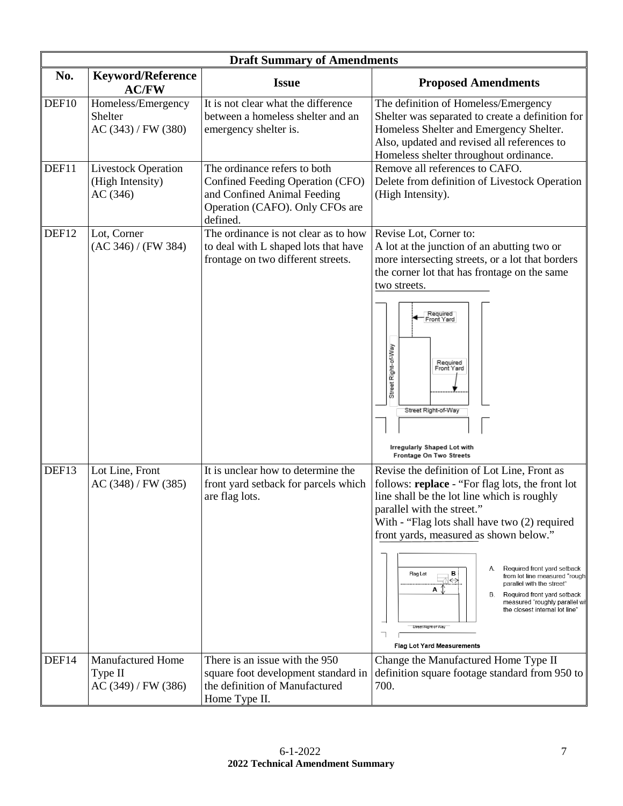|       | <b>Draft Summary of Amendments</b>                         |                                                                                                                                                       |                                                                                                                                                                                                                                                                                                                                                                                                                                                                                                                                                                         |
|-------|------------------------------------------------------------|-------------------------------------------------------------------------------------------------------------------------------------------------------|-------------------------------------------------------------------------------------------------------------------------------------------------------------------------------------------------------------------------------------------------------------------------------------------------------------------------------------------------------------------------------------------------------------------------------------------------------------------------------------------------------------------------------------------------------------------------|
| No.   | <b>Keyword/Reference</b><br><b>AC/FW</b>                   | <b>Issue</b>                                                                                                                                          | <b>Proposed Amendments</b>                                                                                                                                                                                                                                                                                                                                                                                                                                                                                                                                              |
| DEF10 | Homeless/Emergency<br>Shelter<br>AC (343) / FW (380)       | It is not clear what the difference<br>between a homeless shelter and an<br>emergency shelter is.                                                     | The definition of Homeless/Emergency<br>Shelter was separated to create a definition for<br>Homeless Shelter and Emergency Shelter.<br>Also, updated and revised all references to<br>Homeless shelter throughout ordinance.                                                                                                                                                                                                                                                                                                                                            |
| DEF11 | <b>Livestock Operation</b><br>(High Intensity)<br>AC(346)  | The ordinance refers to both<br><b>Confined Feeding Operation (CFO)</b><br>and Confined Animal Feeding<br>Operation (CAFO). Only CFOs are<br>defined. | Remove all references to CAFO.<br>Delete from definition of Livestock Operation<br>(High Intensity).                                                                                                                                                                                                                                                                                                                                                                                                                                                                    |
| DEF12 | Lot, Corner<br>(AC 346) / (FW 384)                         | The ordinance is not clear as to how<br>to deal with L shaped lots that have<br>frontage on two different streets.                                    | Revise Lot, Corner to:<br>A lot at the junction of an abutting two or<br>more intersecting streets, or a lot that borders<br>the corner lot that has frontage on the same<br>two streets.<br>Required<br>Front Yard<br>Street Right-of-Way<br>Required<br>Front Yard<br>Street Right-of-Way<br>Irregularly Shaped Lot with<br>Frontage On Two Streets                                                                                                                                                                                                                   |
| DEF13 | Lot Line, Front<br>AC(348) / FW(385)                       | It is unclear how to determine the<br>front yard setback for parcels which<br>are flag lots.                                                          | Revise the definition of Lot Line, Front as<br>follows: replace - "For flag lots, the front lot<br>line shall be the lot line which is roughly<br>parallel with the street.<br>With - "Flag lots shall have two (2) required<br>front yards, measured as shown below."<br>Required front yard setback<br>B i<br>Flag Lot<br>from lot line measured "roughl<br>⇔.<br>parallel with the street"<br>А<br>Required front yard setback<br>В.<br>measured "roughly parallel wit<br>the closest internal lot line"<br>Street Right-of-Way<br><b>Flag Lot Yard Measurements</b> |
| DEF14 | <b>Manufactured Home</b><br>Type II<br>AC (349) / FW (386) | There is an issue with the 950<br>square foot development standard in<br>the definition of Manufactured<br>Home Type II.                              | Change the Manufactured Home Type II<br>definition square footage standard from 950 to<br>700.                                                                                                                                                                                                                                                                                                                                                                                                                                                                          |